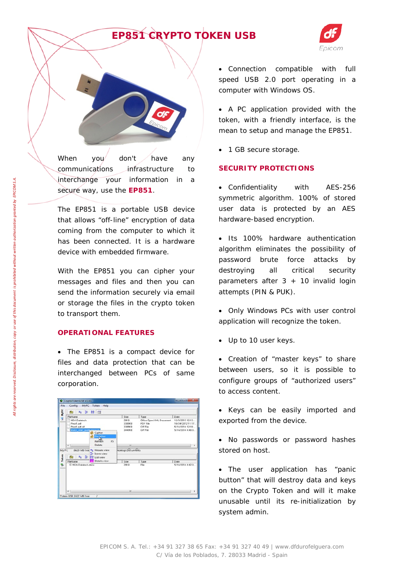## *EP851 CRYPTO TOKEN USB*



When you don't have any communications infrastructure to interchange your information in a secure way, use the **EP851**.

The EP851 is a portable USB device that allows "off-line" encryption of data coming from the computer to which it has been connected. It is a hardware device with embedded firmware.

With the EP851 you can cipher your messages and files and then you can send the information securely via email or storage the files in the crypto token to transport them.

### **OPERATIONAL FEATURES**

• The EP851 is a compact device for files and data protection that can be interchanged between PCs of same corporation.

| <b>WE HYPE</b><br>FieN ame           | NDA Datatech<br>Prezi1.pdf<br>Prezi1.pdf.cif<br>Quick start quide docuud.           | Cipher<br><b>Decipher</b> | Size<br>20KB<br>3305KB<br>3389XB<br>3449KB | Type<br>Office Open XML Document<br>PDF File<br>CIF File<br>CIF File | Date<br>12/3/2013 12:13:<br>10/24/2012 11:17<br>5/14/2014 12:18:<br>5/14/2014 4:48 0. |
|--------------------------------------|-------------------------------------------------------------------------------------|---------------------------|--------------------------------------------|----------------------------------------------------------------------|---------------------------------------------------------------------------------------|
|                                      |                                                                                     |                           |                                            |                                                                      |                                                                                       |
|                                      |                                                                                     |                           |                                            |                                                                      |                                                                                       |
|                                      |                                                                                     |                           |                                            |                                                                      |                                                                                       |
|                                      |                                                                                     |                           |                                            |                                                                      |                                                                                       |
|                                      |                                                                                     |                           |                                            |                                                                      |                                                                                       |
|                                      |                                                                                     |                           |                                            |                                                                      |                                                                                       |
|                                      |                                                                                     | FS.<br>Refresh            |                                            |                                                                      |                                                                                       |
| $\mathbf{r}$                         |                                                                                     | Delete                    | m                                          |                                                                      |                                                                                       |
| 6629 MB free Ro Mosaic view<br>My PC |                                                                                     |                           | <b>Jesktop\Ddcuments</b>                   |                                                                      |                                                                                       |
|                                      | <sup>a</sup> <sub>2</sub> . Icons view<br><b>Q<sub>Q</sub> St EE</b> List view<br>c |                           |                                            |                                                                      |                                                                                       |
| Token                                |                                                                                     | <b>Details</b> view       |                                            |                                                                      |                                                                                       |
| FieName<br>is.                       |                                                                                     |                           | Size                                       | Type                                                                 | Date                                                                                  |
|                                      | El NDA Datatech dock                                                                |                           | 20KB                                       | Fåe                                                                  | 5/14/2014 4:42 0.                                                                     |

• Connection compatible with full speed USB 2.0 port operating in a computer with Windows OS.

• A PC application provided with the token, with a friendly interface, is the mean to setup and manage the EP851.

• 1 GB secure storage.

#### **SECURITY PROTECTIONS**

• Confidentiality with AES-256 symmetric algorithm. 100% of stored user data is protected by an AES hardware-based encryption.

• Its 100% hardware authentication algorithm eliminates the possibility of password brute force attacks by destroying all critical security parameters after  $3 + 10$  invalid login attempts (PIN & PUK).

- Only Windows PCs with user control application will recognize the token.
- Up to 10 user keys.

• Creation of "master keys" to share between users, so it is possible to configure groups of "authorized users" to access content.

- Keys can be easily imported and exported from the device.
- No passwords or password hashes stored on host.

• The user application has "panic button" that will destroy data and keys on the Crypto Token and will it make unusable until its re-initialization by system admin.

*All rights are reserved. Disclosure, distribution, copy or use of this document is prohibited without written authorization granted by EPICOM S.A.*

All rights are reserved. Disclosure, distribution, copy or use of this document is prohibited without written authorization granted by EPICOM S.A.